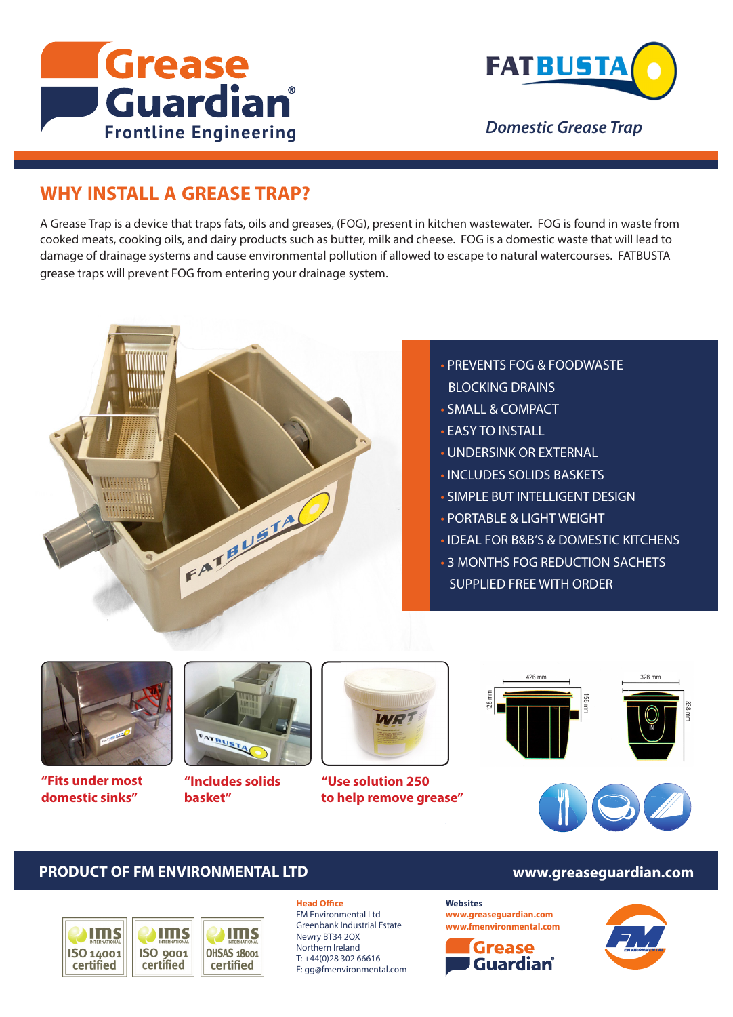



*Domestic Grease Trap*

## **WHY INSTALL A GREASE TRAP?**

A Grease Trap is a device that traps fats, oils and greases, (FOG), present in kitchen wastewater. FOG is found in waste from cooked meats, cooking oils, and dairy products such as butter, milk and cheese. FOG is a domestic waste that will lead to damage of drainage systems and cause environmental pollution if allowed to escape to natural watercourses. FATBUSTA grease traps will prevent FOG from entering your drainage system.



- PREVENTS FOG & FOODWASTE BLOCKING DRAINS
- SMALL & COMPACT
- EASY TO INSTALL
- UNDERSINK OR EXTERNAL
- INCLUDES SOLIDS BASKETS
- SIMPLE BUT INTELLIGENT DESIGN
- PORTABLE & LIGHT WEIGHT
- IDEAL FOR B&B'S & DOMESTIC KITCHENS
- 3 MONTHS FOG REDUCTION SACHETS SUPPLIED FREE WITH ORDER



**"Fits under most domestic sinks"**



**"Includes solids basket"**



**"Use solution 250 to help remove grease"**



### **PRODUCT OF FM ENVIRONMENTAL LTD www.greaseguardian.com**



#### **Head Office**

FM Environmental Ltd Greenbank Industrial Estate Newry BT34 2QX Northern Ireland T: +44(0)28 302 66616 E: gg@fmenvironmental.com

#### **Websites**

**www.greaseguardian.com www.fmenvironmental.com**